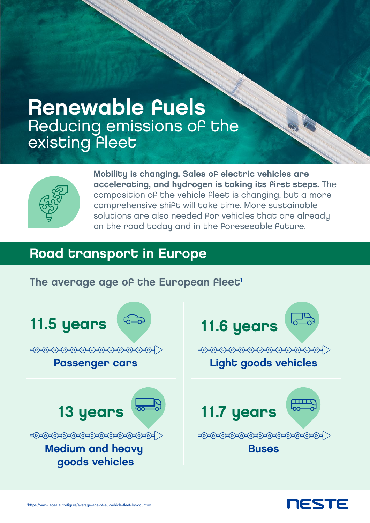# Renewable fuels Reducing emissions of the existing fleet



Mobility is changing. Sales of electric vehicles are accelerating, and hydrogen is taking its first steps. The composition of the vehicle fleet is changing, but a more comprehensive shift will take time. More sustainable solutions are also needed for vehicles that are already on the road today and in the foreseeable future.

#### Road transport in Europe

#### The average age of the European Fleet<sup>1</sup>



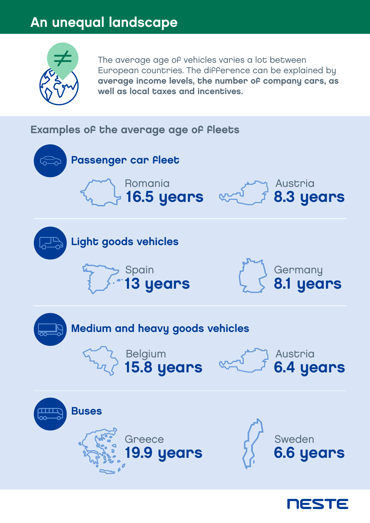# An unequal landscape



The average age of vehicles varies a lot between European countries. The difference can be explained by average income levels, the number of company cars, as well as local taxes and incentives.

#### Examples of the average age of fleets



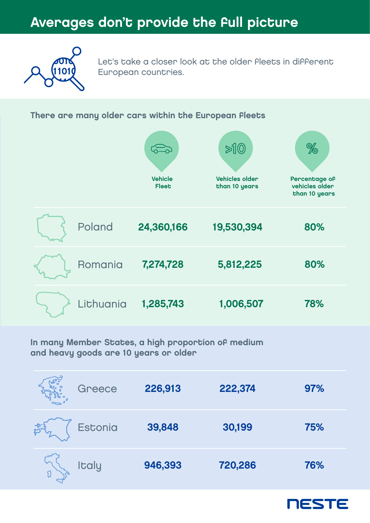### Averages don't provide the full picture



Let's take a closer look at the older fleets in different European countries.

#### There are many older cars within the European fleets



In many Member States, a high proportion of medium and heavy goods are 10 years or older

| Greece         | 226,913 | 222,374 | 97% |
|----------------|---------|---------|-----|
| <b>Estonia</b> | 39,848  | 30,199  | 75% |
| <b>Italy</b>   | 946,393 | 720,286 | 76% |

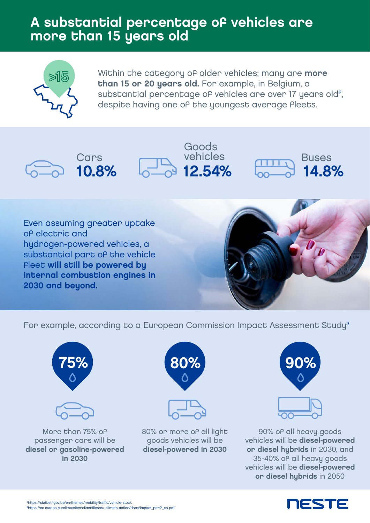#### A substantial percentage of vehicles are more than 15 years old



Within the category of older vehicles; many are more than 15 or 20 years old. For example, in Belgium, a substantial percentage of vehicles are over 17 years old<sup>2</sup>, despite having one of the youngest average fleets.

> Goods vehicles

**2.54%** 





Even assuming greater uptake of electric and hydrogen-powered vehicles, a substantial part of the vehicle Fleet will still be powered by internal combustion engines in 2030 and beyond.



Buses

14.8%

For example, according to a European Commission Impact Assessment Study<sup>3</sup>





More than 75% of passenger cars will be diesel or gasoline-powered in 2030





80% or more of all light goods vehicles will be diesel-powered in 2030





90% of all heavy goods vehicles will be diesel-powered or diesel hybrids in 2030, and 35-40% of all heavy goods vehicles will be diesel-powered or diesel hybrids in 2050